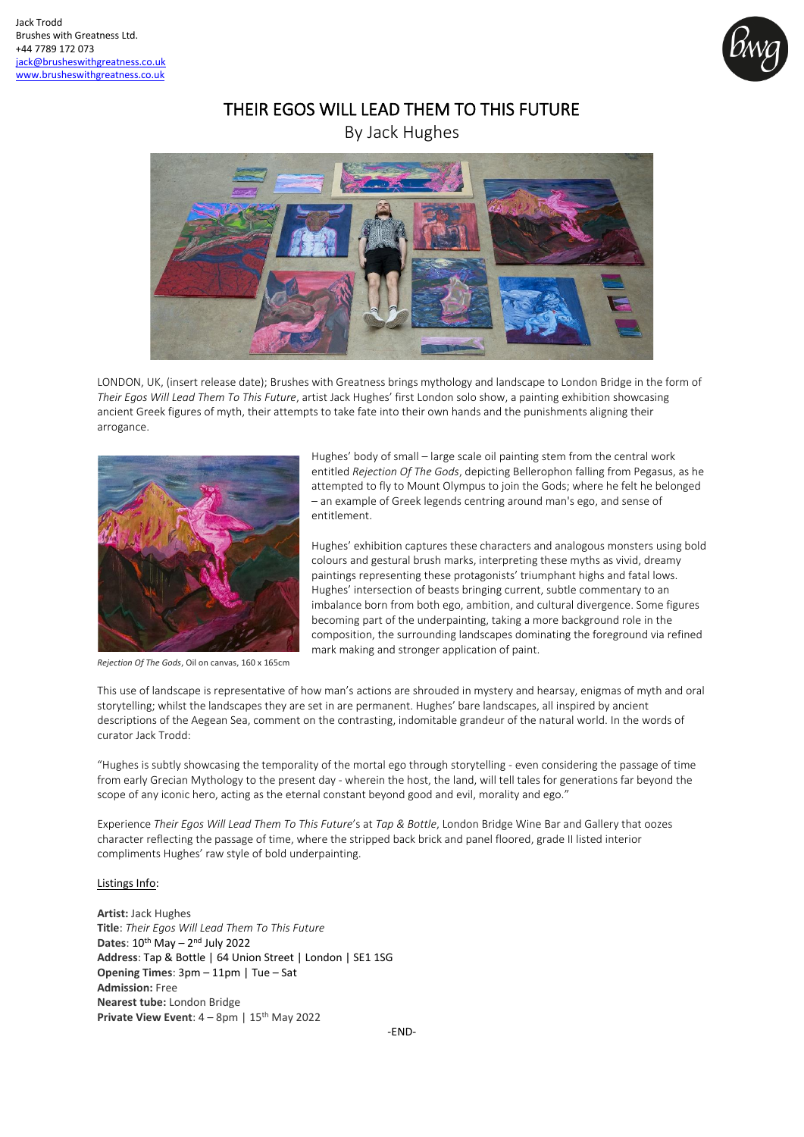

# THEIR EGOS WILL LEAD THEM TO THIS FUTURE

By Jack Hughes



LONDON, UK, (insert release date); Brushes with Greatness brings mythology and landscape to London Bridge in the form of *Their Egos Will Lead Them To This Future*, artist Jack Hughes' first London solo show, a painting exhibition showcasing ancient Greek figures of myth, their attempts to take fate into their own hands and the punishments aligning their arrogance.



*Rejection Of The Gods*, Oil on canvas, 160 x 165cm

Hughes' body of small – large scale oil painting stem from the central work entitled *Rejection Of The Gods*, depicting Bellerophon falling from Pegasus, as he attempted to fly to Mount Olympus to join the Gods; where he felt he belonged – an example of Greek legends centring around man's ego, and sense of entitlement.

Hughes' exhibition captures these characters and analogous monsters using bold colours and gestural brush marks, interpreting these myths as vivid, dreamy paintings representing these protagonists' triumphant highs and fatal lows. Hughes' intersection of beasts bringing current, subtle commentary to an imbalance born from both ego, ambition, and cultural divergence. Some figures becoming part of the underpainting, taking a more background role in the composition, the surrounding landscapes dominating the foreground via refined mark making and stronger application of paint.

This use of landscape is representative of how man's actions are shrouded in mystery and hearsay, enigmas of myth and oral storytelling; whilst the landscapes they are set in are permanent. Hughes' bare landscapes, all inspired by ancient descriptions of the Aegean Sea, comment on the contrasting, indomitable grandeur of the natural world. In the words of curator Jack Trodd:

"Hughes is subtly showcasing the temporality of the mortal ego through storytelling - even considering the passage of time from early Grecian Mythology to the present day - wherein the host, the land, will tell tales for generations far beyond the scope of any iconic hero, acting as the eternal constant beyond good and evil, morality and ego."

Experience *Their Egos Will Lead Them To This Future*'s at *Tap & Bottle*, London Bridge Wine Bar and Gallery that oozes character reflecting the passage of time, where the stripped back brick and panel floored, grade II listed interior compliments Hughes' raw style of bold underpainting.

## Listings Info:

**Artist:** Jack Hughes **Title**: *Their Egos Will Lead Them To This Future* Dates: 10<sup>th</sup> May - 2<sup>nd</sup> July 2022 **Address**: Tap & Bottle | 64 Union Street | London | SE1 1SG **Opening Times**: 3pm – 11pm | Tue – Sat **Admission:** Free **Nearest tube:** London Bridge **Private View Event**: 4 – 8pm | 15<sup>th</sup> May 2022